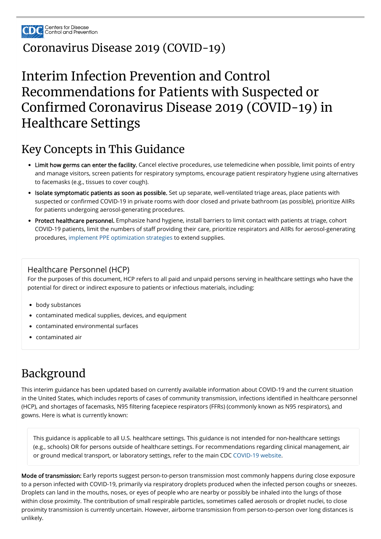

## [Coronavirus](https://www.cdc.gov/coronavirus/2019-nCoV/index.html) Disease 2019 (COVID-19)

# Interim Infection Prevention and Control Recommendations for Patients with Suspected or Confirmed Coronavirus Disease 2019 (COVID-19) in Healthcare Settings

## Key Concepts in This Guidance

- Limit how germs can enter the facility. Cancel elective procedures, use telemedicine when possible, limit points of entry and manage visitors, screen patients for respiratory symptoms, encourage patient respiratory hygiene using alternatives to facemasks (e.g., tissues to cover cough).
- Isolate symptomatic patients as soon as possible. Set up separate, well-ventilated triage areas, place patients with suspected or confirmed COVID-19 in private rooms with door closed and private bathroom (as possible), prioritize AIIRs for patients undergoing aerosol-generating procedures.
- Protect healthcare personnel. Emphasize hand hygiene, install barriers to limit contact with patients at triage, cohort COVID-19 patients, limit the numbers of staff providing their care, prioritize respirators and AIIRs for aerosol-generating procedures, [implement PPE optimization strategies](https://www.cdc.gov/coronavirus/2019-ncov/hcp/ppe-strategy/index.html) to extend supplies.

- body substances
- contaminated medical supplies, devices, and equipment
- contaminated environmental surfaces
- contaminated air

#### Healthcare Personnel (HCP)

For the purposes of this document, HCP refers to all paid and unpaid persons serving in healthcare settings who have the potential for direct or indirect exposure to patients or infectious materials, including:

Mode of transmission: Early reports suggest person-to-person transmission most commonly happens during close exposure to a person infected with COVID-19, primarily via respiratory droplets produced when the infected person coughs or sneezes. Droplets can land in the mouths, noses, or eyes of people who are nearby or possibly be inhaled into the lungs of those within close proximity. The contribution of small respirable particles, sometimes called aerosols or droplet nuclei, to close proximity transmission is currently uncertain. However, airborne transmission from person-to-person over long distances is unlikely.

# Background

This interim guidance has been updated based on currently available information about COVID-19 and the current situation in the United States, which includes reports of cases of community transmission, infections identified in healthcare personnel (HCP), and shortages of facemasks, N95 filtering facepiece respirators (FFRs) (commonly known as N95 respirators), and gowns. Here is what is currently known:

This guidance is applicable to all U.S. healthcare settings. This guidance is not intended for non-healthcare settings (e.g., schools) OR for persons outside of healthcare settings. For recommendations regarding clinical management, air or ground medical transport, or laboratory settings, refer to the main CDC [COVID-19 website](https://www.cdc.gov/coronavirus/2019-nCoV/guidance-hcp.html).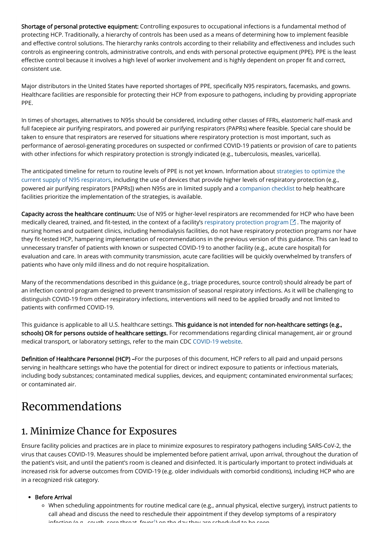Shortage of personal protective equipment: Controlling exposures to occupational infections is a fundamental method of protecting HCP. Traditionally, a hierarchy of controls has been used as a means of determining how to implement feasible and effective control solutions. The hierarchy ranks controls according to their reliability and effectiveness and includes such controls as engineering controls, administrative controls, and ends with personal protective equipment (PPE). PPE is the least effective control because it involves a high level of worker involvement and is highly dependent on proper fit and correct, consistent use.

Major distributors in the United States have reported shortages of PPE, specifically N95 respirators, facemasks, and gowns. Healthcare facilities are responsible for protecting their HCP from exposure to pathogens, including by providing appropriate PPE.

In times of shortages, alternatives to N95s should be considered, including other classes of FFRs, elastomeric half-mask and full facepiece air purifying respirators, and powered air purifying respirators (PAPRs) where feasible. Special care should be taken to ensure that respirators are reserved for situations where respiratory protection is most important, such as performance of aerosol-generating procedures on suspected or confirmed COVID-19 patients or provision of care to patients with other infections for which respiratory protection is strongly indicated (e.g., tuberculosis, measles, varicella).

Many of the recommendations described in this guidance (e.g., triage procedures, source control) should already be part of an infection control program designed to prevent transmission of seasonal respiratory infections. As it will be challenging to distinguish COVID-19 from other respiratory infections, interventions will need to be applied broadly and not limited to patients with confirmed COVID-19.

[The anticipated timeline for return to routine levels of PPE is not yet known. Information about strategies to optimize the](https://www.cdc.gov/coronavirus/2019-ncov/hcp/respirator-supply-strategies.html) current supply of N95 respirators, including the use of devices that provide higher levels of respiratory protection (e.g., powered air purifying respirators [PAPRs]) when N95s are in limited supply and a [companion checklist](https://www.cdc.gov/coronavirus/2019-ncov/hcp/checklist-n95-strategy.html) to help healthcare facilities prioritize the implementation of the strategies, is available.

This guidance is applicable to all U.S. healthcare settings. This guidance is not intended for non-healthcare settings (e.g., schools) OR for persons outside of healthcare settings. For recommendations regarding clinical management, air or ground medical transport, or laboratory settings, refer to the main CDC [COVID-19 website.](https://www.cdc.gov/coronavirus/2019-nCoV/guidance-hcp.html)

Definition of Healthcare Personnel (HCP) –For the purposes of this document, HCP refers to all paid and unpaid persons serving in healthcare settings who have the potential for direct or indirect exposure to patients or infectious materials, including body substances; contaminated medical supplies, devices, and equipment; contaminated environmental surfaces; or contaminated air.

When scheduling appointments for routine medical care (e.g., annual physical, elective surgery), instruct patients to call ahead and discuss the need to reschedule their appointment if they develop symptoms of a respiratory  $\frac{1}{2}$  $\frac{1}{2}$  $\frac{1}{2}$  infection (e.g. cough sore throat fever<sup>1</sup>) on the day they are scheduled to be seen

Capacity across the healthcare continuum: Use of N95 or higher-level respirators are recommended for HCP who have been medically cleared, trained, and fit-tested, in the context of a facility's [respiratory protection program](https://www.osha.gov/laws-regs/regulations/standardnumber/1910/1910.134)  $\boxtimes$  . The majority of nursing homes and outpatient clinics, including hemodialysis facilities, do not have respiratory protection programs nor have they fit-tested HCP, hampering implementation of recommendations in the previous version of this guidance. This can lead to unnecessary transfer of patients with known or suspected COVID-19 to another facility (e.g., acute care hospital) for evaluation and care. In areas with community transmission, acute care facilities will be quickly overwhelmed by transfers of patients who have only mild illness and do not require hospitalization.

### Recommendations

### 1. Minimize Chance for Exposures

Ensure facility policies and practices are in place to minimize exposures to respiratory pathogens including SARS-CoV-2, the virus that causes COVID-19. Measures should be implemented before patient arrival, upon arrival, throughout the duration of the patient's visit, and until the patient's room is cleaned and disinfected. It is particularly important to protect individuals at increased risk for adverse outcomes from COVID-19 (e.g. older individuals with comorbid conditions), including HCP who are in a recognized risk category.

#### • Before Arrival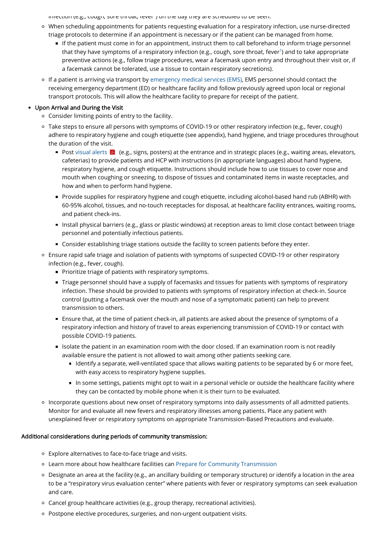infection (e.g., cough, sore throat, feve[r](https://www.cdc.gov/coronavirus/mers/infection-prevention-control.html#foot1) ) on the day they are scheduled to be seen.

- When scheduling appointments for patients requesting evaluation for a respiratory infection, use nurse-directed triage protocols to determine if an appointment is necessary or if the patient can be managed from home.
	- If the patient must come in for an appointment, instruct them to call beforehand to inform triage personnel that they have symptoms of a respiratory infection (e.g., cough, sore throat, fever $^{\rm \tiny 1}$  $^{\rm \tiny 1}$  $^{\rm \tiny 1}$ ) and to take appropriate preventive actions (e.g., follow triage procedures, wear a facemask upon entry and throughout their visit or, if a facemask cannot be tolerated, use a tissue to contain respiratory secretions).
- If a patient is arriving via transport by [emergency medical services \(EMS\)](https://www.cdc.gov/coronavirus/2019-ncov/hcp/guidance-for-ems.html), EMS personnel should contact the receiving emergency department (ED) or healthcare facility and follow previously agreed upon local or regional transport protocols. This will allow the healthcare facility to prepare for receipt of the patient.

#### Upon Arrival and During the Visit

- Consider limiting points of entry to the facility.
- Take steps to ensure all persons with symptoms of COVID-19 or other respiratory infection (e.g., fever, cough) adhere to respiratory hygiene and cough etiquette (see appendix), hand hygiene, and triage procedures throughout the duration of the visit.
	- Post [visual alerts](https://www.cdc.gov/flu/pdf/protect/cdc_cough.pdf) A (e.g., signs, posters) at the entrance and in strategic places (e.g., waiting areas, elevators, cafeterias) to provide patients and HCP with instructions (in appropriate languages) about hand hygiene, respiratory hygiene, and cough etiquette. Instructions should include how to use tissues to cover nose and mouth when coughing or sneezing, to dispose of tissues and contaminated items in waste receptacles, and how and when to perform hand hygiene.
	- Provide supplies for respiratory hygiene and cough etiquette, including alcohol-based hand rub (ABHR) with 60-95% alcohol, tissues, and no-touch receptacles for disposal, at healthcare facility entrances, waiting rooms, and patient check-ins.
	- Install physical barriers (e.g., glass or plastic windows) at reception areas to limit close contact between triage personnel and potentially infectious patients.
	- Consider establishing triage stations outside the facility to screen patients before they enter.
- Ensure rapid safe triage and isolation of patients with symptoms of suspected COVID-19 or other respiratory infection (e.g., fever, cough).
	- Prioritize triage of patients with respiratory symptoms.
	- Triage personnel should have a supply of facemasks and tissues for patients with symptoms of respiratory infection. These should be provided to patients with symptoms of respiratory infection at check-in. Source control (putting a facemask over the mouth and nose of a symptomatic patient) can help to prevent transmission to others.
	- Ensure that, at the time of patient check-in, all patients are asked about the presence of symptoms of a respiratory infection and history of travel to areas experiencing transmission of COVID-19 or contact with possible COVID-19 patients.
	- I Isolate the patient in an examination room with the door closed. If an examination room is not readily available ensure the patient is not allowed to wait among other patients seeking care.
		- Identify a separate, well-ventilated space that allows waiting patients to be separated by 6 or more feet, with easy access to respiratory hygiene supplies.
		- In some settings, patients might opt to wait in a personal vehicle or outside the healthcare facility where they can be contacted by mobile phone when it is their turn to be evaluated.
- Incorporate questions about new onset of respiratory symptoms into daily assessments of all admitted patients.

Monitor for and evaluate all new fevers and respiratory illnesses among patients. Place any patient with unexplained fever or respiratory symptoms on appropriate Transmission-Based Precautions and evaluate.

#### Additional considerations during periods of community transmission:

- Explore alternatives to face-to-face triage and visits.
- Learn more about how healthcare facilities can [Prepare for Community Transmission](https://www.cdc.gov/coronavirus/2019-ncov/healthcare-facilities/guidance-hcf.html)
- Designate an area at the facility (e.g., an ancillary building or temporary structure) or identify a location in the area to be a "respiratory virus evaluation center" where patients with fever or respiratory symptoms can seek evaluation and care.
- Cancel group healthcare activities (e.g., group therapy, recreational activities).
- Postpone elective procedures, surgeries, and non-urgent outpatient visits.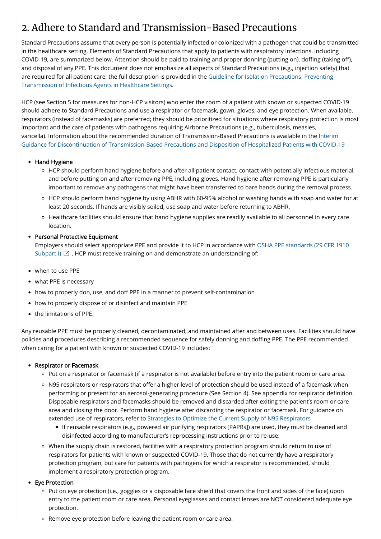### 2. Adhere to Standard and Transmission-Based Precautions

Standard Precautions assume that every person is potentially infected or colonized with a pathogen that could be transmitted in the healthcare setting. Elements of Standard Precautions that apply to patients with respiratory infections, including COVID-19, are summarized below. Attention should be paid to training and proper donning (putting on), doffing (taking off), and disposal of any PPE. This document does not emphasize all aspects of Standard Precautions (e.g., injection safety) that [are required for all patient care; the full description is provided in the Guideline for Isolation Precautions: Preventing](https://www.cdc.gov/infectioncontrol/guidelines/isolation/) Transmission of Infectious Agents in Healthcare Settings.

- HCP should perform hand hygiene before and after all patient contact, contact with potentially infectious material, and before putting on and after removing PPE, including gloves. Hand hygiene after removing PPE is particularly important to remove any pathogens that might have been transferred to bare hands during the removal process.
- HCP should perform hand hygiene by using ABHR with 60-95% alcohol or washing hands with soap and water for at least 20 seconds. If hands are visibly soiled, use soap and water before returning to ABHR.
- Healthcare facilities should ensure that hand hygiene supplies are readily available to all personnel in every care location.
- Personal Protective Equipment

[Employers should select appropriate PPE and provide it to HCP in accordance with OSHA PPE standards \(29 CFR 1910](https://www.osha.gov/laws-regs/regulations/standardnumber/1910) Subpart I)  $\boxtimes$  . HCP must receive training on and demonstrate an understanding of:

HCP (see Section 5 for measures for non-HCP visitors) who enter the room of a patient with known or suspected COVID-19 should adhere to Standard Precautions and use a respirator or facemask, gown, gloves, and eye protection. When available, respirators (instead of facemasks) are preferred; they should be prioritized for situations where respiratory protection is most important and the care of patients with pathogens requiring Airborne Precautions (e.g., tuberculosis, measles, varicella). Information about the recommended duration of Transmission-Based Precautions is available in the Interim [Guidance for Discontinuation of Transmission-Based Precautions and Disposition of Hospitalized Patients with COVID-19](https://www.cdc.gov/coronavirus/2019-ncov/hcp/disposition-hospitalized-patients.html)

#### • Hand Hygiene

- when to use PPE
- what PPE is necessary
- how to properly don, use, and doff PPE in a manner to prevent self-contamination
- how to properly dispose of or disinfect and maintain PPE
- the limitations of PPE.

Any reusable PPE must be properly cleaned, decontaminated, and maintained after and between uses. Facilities should have policies and procedures describing a recommended sequence for safely donning and doffing PPE. The PPE recommended when caring for a patient with known or suspected COVID-19 includes:

#### • Respirator or Facemask

- Put on a respirator or facemask (if a respirator is not available) before entry into the patient room or care area.
- o N95 respirators or respirators that offer a higher level of protection should be used instead of a facemask when performing or present for an aerosol-generating procedure (See Section 4). See appendix for respirator definition. Disposable respirators and facemasks should be removed and discarded after exiting the patient's room or care area and closing the door. Perform hand hygiene after discarding the respirator or facemask. For guidance on extended use of respirators, refer to [Strategies to Optimize the Current Supply of N95 Respirators](https://www.cdc.gov/coronavirus/2019-ncov/hcp/respirators-strategy/index.html)
	- If reusable respirators (e.g., powered air purifying respirators [PAPRs]) are used, they must be cleaned and disinfected according to manufacturer's reprocessing instructions prior to re-use.
- When the supply chain is restored, facilities with a respiratory protection program should return to use of respirators for patients with known or suspected COVID-19. Those that do not currently have a respiratory protection program, but care for patients with pathogens for which a respirator is recommended, should implement a respiratory protection program.

#### Eye Protection

- Put on eye protection (i.e., goggles or a disposable face shield that covers the front and sides of the face) upon entry to the patient room or care area. Personal eyeglasses and contact lenses are NOT considered adequate eye protection.
- Remove eye protection before leaving the patient room or care area.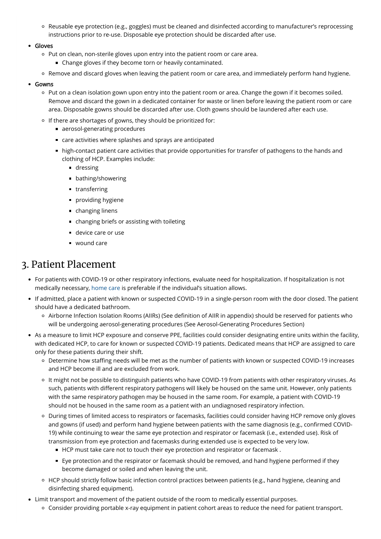- Reusable eye protection (e.g., goggles) must be cleaned and disinfected according to manufacturer's reprocessing instructions prior to re-use. Disposable eye protection should be discarded after use.
- Gloves
	- Put on clean, non-sterile gloves upon entry into the patient room or care area.
		- Change gloves if they become torn or heavily contaminated.
	- Remove and discard gloves when leaving the patient room or care area, and immediately perform hand hygiene.
- Gowns
	- Put on a clean isolation gown upon entry into the patient room or area. Change the gown if it becomes soiled. Remove and discard the gown in a dedicated container for waste or linen before leaving the patient room or care area. Disposable gowns should be discarded after use. Cloth gowns should be laundered after each use.
	- If there are shortages of gowns, they should be prioritized for:
		- aerosol-generating procedures
		- care activities where splashes and sprays are anticipated
		- high-contact patient care activities that provide opportunities for transfer of pathogens to the hands and clothing of HCP. Examples include:
			- **dressing**
			- bathing/showering
			- transferring
			- **providing hygiene**
			- changing linens
			- changing briefs or assisting with toileting
			- device care or use
			- wound care

### 3. Patient Placement

- For patients with COVID-19 or other respiratory infections, evaluate need for hospitalization. If hospitalization is not medically necessary, [home care](https://www.cdc.gov/coronavirus/2019-ncov/hcp/guidance-home-care.html) is preferable if the individual's situation allows.
- If admitted, place a patient with known or suspected COVID-19 in a single-person room with the door closed. The patient should have a dedicated bathroom.
	- <sup>o</sup> Airborne Infection Isolation Rooms (AIIRs) (See definition of AIIR in appendix) should be reserved for patients who will be undergoing aerosol-generating procedures (See Aerosol-Generating Procedures Section)
- As a measure to limit HCP exposure and conserve PPE, facilities could consider designating entire units within the facility, with dedicated HCP, to care for known or suspected COVID-19 patients. Dedicated means that HCP are assigned to care only for these patients during their shift.
	- o Determine how staffing needs will be met as the number of patients with known or suspected COVID-19 increases and HCP become ill and are excluded from work.
	- It might not be possible to distinguish patients who have COVID-19 from patients with other respiratory viruses. As such, patients with different respiratory pathogens will likely be housed on the same unit. However, only patients with the same respiratory pathogen may be housed in the same room. For example, a patient with COVID-19 should not be housed in the same room as a patient with an undiagnosed respiratory infection.

- During times of limited access to respirators or facemasks, facilities could consider having HCP remove only gloves and gowns (if used) and perform hand hygiene between patients with the same diagnosis (e.g., confirmed COVID-19) while continuing to wear the same eye protection and respirator or facemask (i.e., extended use). Risk of transmission from eye protection and facemasks during extended use is expected to be very low.
	- HCP must take care not to touch their eye protection and respirator or facemask .
	- Eye protection and the respirator or facemask should be removed, and hand hygiene performed if they become damaged or soiled and when leaving the unit.
- HCP should strictly follow basic infection control practices between patients (e.g., hand hygiene, cleaning and disinfecting shared equipment).
- Limit transport and movement of the patient outside of the room to medically essential purposes.
	- Consider providing portable x-ray equipment in patient cohort areas to reduce the need for patient transport.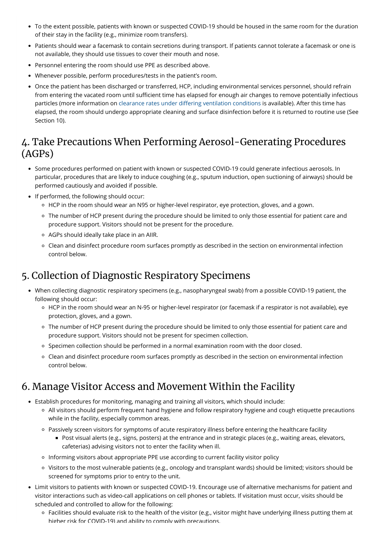- To the extent possible, patients with known or suspected COVID-19 should be housed in the same room for the duration of their stay in the facility (e.g., minimize room transfers).
- Patients should wear a facemask to contain secretions during transport. If patients cannot tolerate a facemask or one is not available, they should use tissues to cover their mouth and nose.
- Personnel entering the room should use PPE as described above.
- Whenever possible, perform procedures/tests in the patient's room.
- Once the patient has been discharged or transferred, HCP, including environmental services personnel, should refrain from entering the vacated room until sufficient time has elapsed for enough air changes to remove potentially infectious particles (more information on clearance rates under differing ventilation conditions is available). After this time has elapsed, the room should undergo appropriate cleaning and surface disinfection before it is returned to routine use (See Section 10).

- Some procedures performed on patient with known or suspected COVID-19 could generate infectious aerosols. In particular, procedures that are likely to induce coughing (e.g., sputum induction, open suctioning of airways) should be performed cautiously and avoided if possible.
- If performed, the following should occur:
	- HCP in the room should wear an N95 or higher-level respirator, eye protection, gloves, and a gown.
	- The number of HCP present during the procedure should be limited to only those essential for patient care and procedure support. Visitors should not be present for the procedure.
	- AGPs should ideally take place in an AIIR.
	- Clean and disinfect procedure room surfaces promptly as described in the section on environmental infection control below.

#### 4. Take Precautions When Performing Aerosol-Generating Procedures (AGPs)

### 5. Collection of Diagnostic Respiratory Specimens

- When collecting diagnostic respiratory specimens (e.g., nasopharyngeal swab) from a possible COVID-19 patient, the following should occur:
	- HCP in the room should wear an N-95 or higher-level respirator (or facemask if a respirator is not available), eye protection, gloves, and a gown.
	- The number of HCP present during the procedure should be limited to only those essential for patient care and procedure support. Visitors should not be present for specimen collection.
	- Specimen collection should be performed in a normal examination room with the door closed.
	- Clean and disinfect procedure room surfaces promptly as described in the section on environmental infection control below.

### 6. Manage Visitor Access and Movement Within the Facility

- Establish procedures for monitoring, managing and training all visitors, which should include:
	- All visitors should perform frequent hand hygiene and follow respiratory hygiene and cough etiquette precautions while in the facility, especially common areas.
	- Passively screen visitors for symptoms of acute respiratory illness before entering the healthcare facility
		- Post visual alerts (e.g., signs, posters) at the entrance and in strategic places (e.g., waiting areas, elevators, cafeterias) advising visitors not to enter the facility when ill.
	- o Informing visitors about appropriate PPE use according to current facility visitor policy
	- Visitors to the most vulnerable patients (e.g., oncology and transplant wards) should be limited; visitors should be screened for symptoms prior to entry to the unit.
- Limit visitors to patients with known or suspected COVID-19. Encourage use of alternative mechanisms for patient and visitor interactions such as video-call applications on cell phones or tablets. If visitation must occur, visits should be scheduled and controlled to allow for the following:
	- Facilities should evaluate risk to the health of the visitor (e.g., visitor might have underlying illness putting them at higher risk for COVID-19) and ability to comply with precautions.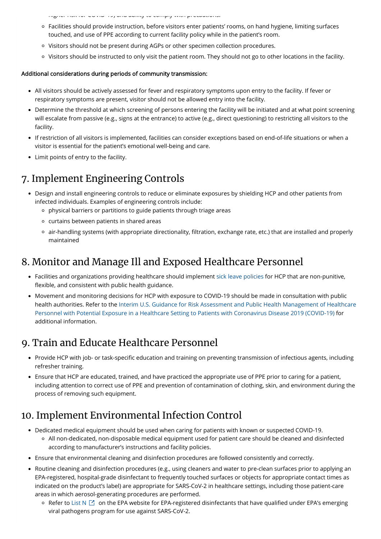higher risk for COVID 19) and ability to comply with precautions.

- Facilities should provide instruction, before visitors enter patients' rooms, on hand hygiene, limiting surfaces touched, and use of PPE according to current facility policy while in the patient's room.
- Visitors should not be present during AGPs or other specimen collection procedures.
- Visitors should be instructed to only visit the patient room. They should not go to other locations in the facility.

#### Additional considerations during periods of community transmission:

- All visitors should be actively assessed for fever and respiratory symptoms upon entry to the facility. If fever or respiratory symptoms are present, visitor should not be allowed entry into the facility.
- Determine the threshold at which screening of persons entering the facility will be initiated and at what point screening will escalate from passive (e.g., signs at the entrance) to active (e.g., direct questioning) to restricting all visitors to the facility.
- If restriction of all visitors is implemented, facilities can consider exceptions based on end-of-life situations or when a visitor is essential for the patient's emotional well-being and care.
- Limit points of entry to the facility.

## 7. Implement Engineering Controls

- Provide HCP with job- or task-specific education and training on preventing transmission of infectious agents, including refresher training.
- Ensure that HCP are educated, trained, and have practiced the appropriate use of PPE prior to caring for a patient, including attention to correct use of PPE and prevention of contamination of clothing, skin, and environment during the process of removing such equipment.
- Design and install engineering controls to reduce or eliminate exposures by shielding HCP and other patients from infected individuals. Examples of engineering controls include:
	- physical barriers or partitions to guide patients through triage areas
	- curtains between patients in shared areas
	- $\circ$  air-handling systems (with appropriate directionality, filtration, exchange rate, etc.) that are installed and properly maintained

### 8. Monitor and Manage Ill and Exposed Healthcare Personnel

- Facilities and organizations providing healthcare should implement [sick leave policies](https://www.cdc.gov/infectioncontrol/guidelines/healthcare-personnel/index.html) for HCP that are non-punitive, flexible, and consistent with public health guidance.
- Movement and monitoring decisions for HCP with exposure to COVID-19 should be made in consultation with public [health authorities. Refer to the Interim U.S. Guidance for Risk Assessment and Public Health Management of Healthcare](https://www.cdc.gov/coronavirus/2019-ncov/hcp/guidance-risk-assesment-hcp.html) Personnel with Potential Exposure in a Healthcare Setting to Patients with Coronavirus Disease 2019 (COVID-19) for additional information.

### 9. Train and Educate Healthcare Personnel

#### 10. Implement Environmental Infection Control

- Dedicated medical equipment should be used when caring for patients with known or suspected COVID-19. All non-dedicated, non-disposable medical equipment used for patient care should be cleaned and disinfected according to manufacturer's instructions and facility policies.
- Ensure that environmental cleaning and disinfection procedures are followed consistently and correctly.
- Routine cleaning and disinfection procedures (e.g., using cleaners and water to pre-clean surfaces prior to applying an EPA-registered, hospital-grade disinfectant to frequently touched surfaces or objects for appropriate contact times as indicated on the product's label) are appropriate for SARS-CoV-2 in healthcare settings, including those patient-care areas in which aerosol-generating procedures are performed.
	- Refer to [List N](https://www.epa.gov/pesticide-registration/list-n-disinfectants-use-against-sars-cov-2)  $\Box$  on the EPA website for EPA-registered disinfectants that have qualified under EPA's emerging viral pathogens program for use against SARS-CoV-2.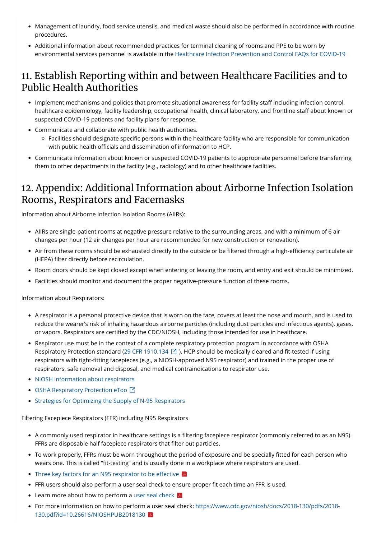- Management of laundry, food service utensils, and medical waste should also be performed in accordance with routine procedures.
- Additional information about recommended practices for terminal cleaning of rooms and PPE to be worn by environmental services personnel is available in the [Healthcare Infection Prevention and Control FAQs for COVID-19](https://www.cdc.gov/coronavirus/2019-ncov/infection-control/infection-prevention-control-faq.html)

### 11. Establish Reporting within and between Healthcare Facilities and to Public Health Authorities

- Implement mechanisms and policies that promote situational awareness for facility staff including infection control, healthcare epidemiology, facility leadership, occupational health, clinical laboratory, and frontline staff about known or suspected COVID-19 patients and facility plans for response.
- Communicate and collaborate with public health authorities.
	- <sup>o</sup> Facilities should designate specific persons within the healthcare facility who are responsible for communication with public health officials and dissemination of information to HCP.
- Communicate information about known or suspected COVID-19 patients to appropriate personnel before transferring them to other departments in the facility (e.g., radiology) and to other healthcare facilities.

- A respirator is a personal protective device that is worn on the face, covers at least the nose and mouth, and is used to reduce the wearer's risk of inhaling hazardous airborne particles (including dust particles and infectious agents), gases, or vapors. Respirators are certified by the CDC/NIOSH, including those intended for use in healthcare.
- Respirator use must be in the context of a complete respiratory protection program in accordance with OSHA Respiratory Protection standard ([29 CFR 1910.134](https://www.osha.gov/pls/oshaweb/owadisp.show_document?p_table=STANDARDS&p_id=12716)  $\boxtimes$  ). HCP should be medically cleared and fit-tested if using respirators with tight-fitting facepieces (e.g., a NIOSH-approved N95 respirator) and trained in the proper use of respirators, safe removal and disposal, and medical contraindications to respirator use.
- [NIOSH information about respirators](https://www.cdc.gov/niosh/topics/respirators/)
- [OSHA Respiratory Protection eToo](https://www.osha.gov/SLTC/etools/respiratory/index.html)  $\boxtimes$
- [Strategies for Optimizing the Supply of N-95 Respirators](https://www.cdc.gov/coronavirus/2019-ncov/hcp/respirator-supply-strategies.html)

### 12. Appendix: Additional Information about Airborne Infection Isolation Rooms, Respirators and Facemasks

Information about Airborne Infection Isolation Rooms (AIIRs):

- AIIRs are single-patient rooms at negative pressure relative to the surrounding areas, and with a minimum of 6 air changes per hour (12 air changes per hour are recommended for new construction or renovation).
- Air from these rooms should be exhausted directly to the outside or be filtered through a high-efficiency particulate air (HEPA) filter directly before recirculation.
- Room doors should be kept closed except when entering or leaving the room, and entry and exit should be minimized.
- Facilities should monitor and document the proper negative-pressure function of these rooms.

Information about Respirators:

Filtering Facepiece Respirators (FFR) including N95 Respirators

- A commonly used respirator in healthcare settings is a filtering facepiece respirator (commonly referred to as an N95). FFRs are disposable half facepiece respirators that filter out particles.
- To work properly, FFRs must be worn throughout the period of exposure and be specially fitted for each person who wears one. This is called "fit-testing" and is usually done in a workplace where respirators are used.
- Three key factors for an N95 respirator to be effective  $|\mathcal{F}|$
- FFR users should also perform a user seal check to ensure proper fit each time an FFR is used.
- Learn more about how to perform a [user seal check](https://www.cdc.gov/niosh/docs/2018-130/pdfs/2018-130.pdf?id=10.26616/NIOSHPUB2018130)  $\blacktriangleright$
- [For more information on how to perform a user seal check: https://www.cdc.gov/niosh/docs/2018-130/pdfs/2018-](https://www.cdc.gov/niosh/docs/2018-130/pdfs/2018-130.pdf?id=10.26616/NIOSHPUB2018130) 130.pdf?id=10.26616/NIOSHPUB2018130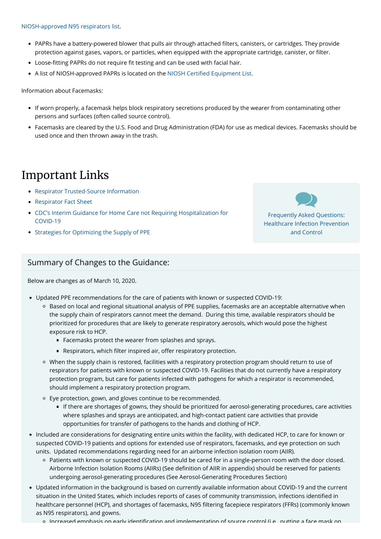#### [NIOSH-approved N95 respirators list](https://www.cdc.gov/niosh/npptl/topics/respirators/disp_part/n95list1.html).

- PAPRs have a battery-powered blower that pulls air through attached filters, canisters, or cartridges. They provide protection against gases, vapors, or particles, when equipped with the appropriate cartridge, canister, or filter.
- Loose-fitting PAPRs do not require fit testing and can be used with facial hair.
- A list of NIOSH-approved PAPRs is located on the NIOSH Certified Equipment List.

- [Respirator Trusted-Source Information](https://www.cdc.gov/niosh/npptl/topics/respirators/disp_part/RespSource.html)
- [Respirator Fact Sheet](https://www.cdc.gov/niosh/npptl/topics/respirators/factsheets/respsars.html)
- [CDC's Interim Guidance for Home Care not Requiring Hospitalization for](https://www.cdc.gov/coronavirus/2019-ncov/hcp/guidance-home-care.html) COVID-19
- [Strategies for Optimizing the Supply of PPE](https://www.cdc.gov/coronavirus/2019-ncov/hcp/ppe-strategy/index.html)

Information about Facemasks:

- Updated PPE recommendations for the care of patients with known or suspected COVID-19:
	- Based on local and regional situational analysis of PPE supplies, facemasks are an acceptable alternative when the supply chain of respirators cannot meet the demand. During this time, available respirators should be prioritized for procedures that are likely to generate respiratory aerosols, which would pose the highest exposure risk to HCP.
		- Facemasks protect the wearer from splashes and sprays.
		- Respirators, which filter inspired air, offer respiratory protection.
	- When the supply chain is restored, facilities with a respiratory protection program should return to use of respirators for patients with known or suspected COVID-19. Facilities that do not currently have a respiratory protection program, but care for patients infected with pathogens for which a respirator is recommended, should implement a respiratory protection program.
	- Eye protection, gown, and gloves continue to be recommended.
		- If there are shortages of gowns, they should be prioritized for aerosol-generating procedures, care activities
			- where splashes and sprays are anticipated, and high-contact patient care activities that provide opportunities for transfer of pathogens to the hands and clothing of HCP.
- Included are considerations for designating entire units within the facility, with dedicated HCP, to care for known or suspected COVID-19 patients and options for extended use of respirators, facemasks, and eye protection on such units. Updated recommendations regarding need for an airborne infection isolation room (AIIR).
	- Patients with known or suspected COVID-19 should be cared for in a single-person room with the door closed. Airborne Infection Isolation Rooms (AIIRs) (See definition of AIIR in appendix) should be reserved for patients undergoing aerosol-generating procedures (See Aerosol-Generating Procedures Section)
- Updated information in the background is based on currently available information about COVID-19 and the current situation in the United States, which includes reports of cases of community transmission, infections identified in healthcare personnel (HCP), and shortages of facemasks, N95 filtering facepiece respirators (FFRs) (commonly known as N95 respirators), and gowns.
	- o Increased emphasis on early identification and implementation of source control (i.e. putting a face mask on
- If worn properly, a facemask helps block respiratory secretions produced by the wearer from contaminating other persons and surfaces (often called source control).
- Facemasks are cleared by the U.S. Food and Drug Administration (FDA) for use as medical devices. Facemasks should be used once and then thrown away in the trash.

### Important Links

Frequently Asked Questions: [Healthcare Infection Prevention](https://www.cdc.gov/coronavirus/2019-ncov/infection-control/infection-prevention-control-faq.html) and Control



#### Summary of Changes to the Guidance:

Below are changes as of March 10, 2020.